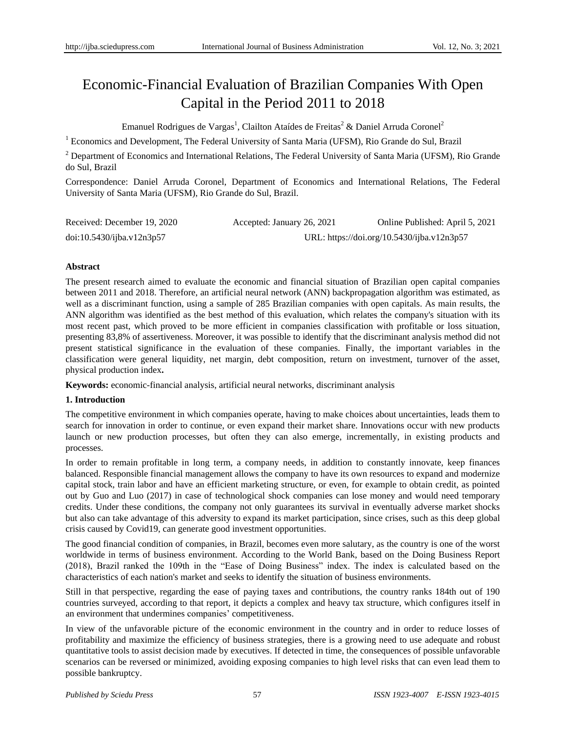# Economic-Financial Evaluation of Brazilian Companies With Open Capital in the Period 2011 to 2018

Emanuel Rodrigues de Vargas<sup>1</sup>, Clailton Ata **íles de Freitas<sup>2</sup> & Daniel Arruda Coronel<sup>2</sup>** 

<sup>1</sup> Economics and Development, The Federal University of Santa Maria (UFSM), Rio Grande do Sul, Brazil

<sup>2</sup> Department of Economics and International Relations, The Federal University of Santa Maria (UFSM), Rio Grande do Sul, Brazil

Correspondence: Daniel Arruda Coronel, Department of Economics and International Relations, The Federal University of Santa Maria (UFSM), Rio Grande do Sul, Brazil.

| Received: December 19, 2020 | Accepted: January 26, 2021 | Online Published: April 5, 2021            |
|-----------------------------|----------------------------|--------------------------------------------|
| doi:10.5430/ijba.v12n3p57   |                            | URL: https://doi.org/10.5430/ijba.v12n3p57 |

## **Abstract**

The present research aimed to evaluate the economic and financial situation of Brazilian open capital companies between 2011 and 2018. Therefore, an artificial neural network (ANN) backpropagation algorithm was estimated, as well as a discriminant function, using a sample of 285 Brazilian companies with open capitals. As main results, the ANN algorithm was identified as the best method of this evaluation, which relates the company's situation with its most recent past, which proved to be more efficient in companies classification with profitable or loss situation, presenting 83,8% of assertiveness. Moreover, it was possible to identify that the discriminant analysis method did not present statistical significance in the evaluation of these companies. Finally, the important variables in the classification were general liquidity, net margin, debt composition, return on investment, turnover of the asset, physical production index**.**

**Keywords:** economic-financial analysis, artificial neural networks, discriminant analysis

#### **1. Introduction**

The competitive environment in which companies operate, having to make choices about uncertainties, leads them to search for innovation in order to continue, or even expand their market share. Innovations occur with new products launch or new production processes, but often they can also emerge, incrementally, in existing products and processes.

In order to remain profitable in long term, a company needs, in addition to constantly innovate, keep finances balanced. Responsible financial management allows the company to have its own resources to expand and modernize capital stock, train labor and have an efficient marketing structure, or even, for example to obtain credit, as pointed out by Guo and Luo (2017) in case of technological shock companies can lose money and would need temporary credits. Under these conditions, the company not only guarantees its survival in eventually adverse market shocks but also can take advantage of this adversity to expand its market participation, since crises, such as this deep global crisis caused by Covid19, can generate good investment opportunities.

The good financial condition of companies, in Brazil, becomes even more salutary, as the country is one of the worst worldwide in terms of business environment. According to the World Bank, based on the Doing Business Report (2018), Brazil ranked the 109th in the "Ease of Doing Business" index. The index is calculated based on the characteristics of each nation's market and seeks to identify the situation of business environments.

Still in that perspective, regarding the ease of paying taxes and contributions, the country ranks 184th out of 190 countries surveyed, according to that report, it depicts a complex and heavy tax structure, which configures itself in an environment that undermines companies' competitiveness.

In view of the unfavorable picture of the economic environment in the country and in order to reduce losses of profitability and maximize the efficiency of business strategies, there is a growing need to use adequate and robust quantitative tools to assist decision made by executives. If detected in time, the consequences of possible unfavorable scenarios can be reversed or minimized, avoiding exposing companies to high level risks that can even lead them to possible bankruptcy.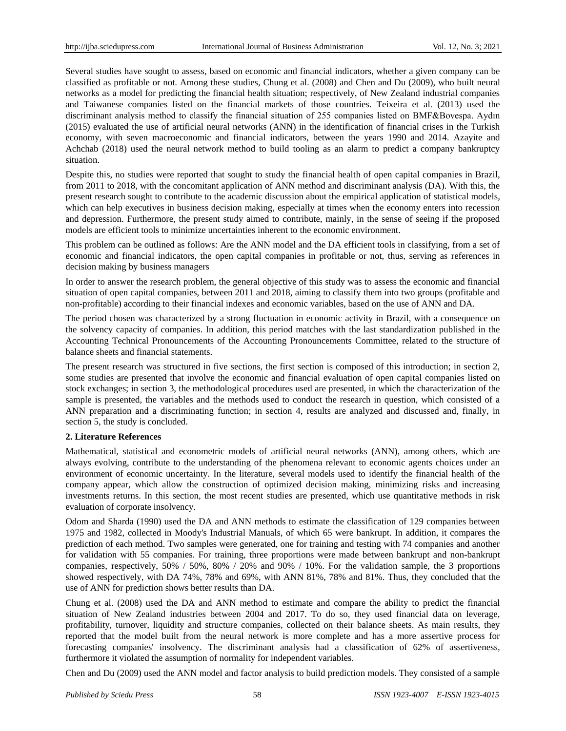Several studies have sought to assess, based on economic and financial indicators, whether a given company can be classified as profitable or not. Among these studies, Chung et al. (2008) and Chen and Du (2009), who built neural networks as a model for predicting the financial health situation; respectively, of New Zealand industrial companies and Taiwanese companies listed on the financial markets of those countries. Teixeira et al. (2013) used the discriminant analysis method to classify the financial situation of 255 companies listed on BMF&Bovespa. Aydın (2015) evaluated the use of artificial neural networks (ANN) in the identification of financial crises in the Turkish economy, with seven macroeconomic and financial indicators, between the years 1990 and 2014. Azayite and Achchab (2018) used the neural network method to build tooling as an alarm to predict a company bankruptcy situation.

Despite this, no studies were reported that sought to study the financial health of open capital companies in Brazil, from 2011 to 2018, with the concomitant application of ANN method and discriminant analysis (DA). With this, the present research sought to contribute to the academic discussion about the empirical application of statistical models, which can help executives in business decision making, especially at times when the economy enters into recession and depression. Furthermore, the present study aimed to contribute, mainly, in the sense of seeing if the proposed models are efficient tools to minimize uncertainties inherent to the economic environment.

This problem can be outlined as follows: Are the ANN model and the DA efficient tools in classifying, from a set of economic and financial indicators, the open capital companies in profitable or not, thus, serving as references in decision making by business managers

In order to answer the research problem, the general objective of this study was to assess the economic and financial situation of open capital companies, between 2011 and 2018, aiming to classify them into two groups (profitable and non-profitable) according to their financial indexes and economic variables, based on the use of ANN and DA.

The period chosen was characterized by a strong fluctuation in economic activity in Brazil, with a consequence on the solvency capacity of companies. In addition, this period matches with the last standardization published in the Accounting Technical Pronouncements of the Accounting Pronouncements Committee, related to the structure of balance sheets and financial statements.

The present research was structured in five sections, the first section is composed of this introduction; in section 2, some studies are presented that involve the economic and financial evaluation of open capital companies listed on stock exchanges; in section 3, the methodological procedures used are presented, in which the characterization of the sample is presented, the variables and the methods used to conduct the research in question, which consisted of a ANN preparation and a discriminating function; in section 4, results are analyzed and discussed and, finally, in section 5, the study is concluded.

#### **2. Literature References**

Mathematical, statistical and econometric models of artificial neural networks (ANN), among others, which are always evolving, contribute to the understanding of the phenomena relevant to economic agents choices under an environment of economic uncertainty. In the literature, several models used to identify the financial health of the company appear, which allow the construction of optimized decision making, minimizing risks and increasing investments returns. In this section, the most recent studies are presented, which use quantitative methods in risk evaluation of corporate insolvency.

Odom and Sharda (1990) used the DA and ANN methods to estimate the classification of 129 companies between 1975 and 1982, collected in Moody's Industrial Manuals, of which 65 were bankrupt. In addition, it compares the prediction of each method. Two samples were generated, one for training and testing with 74 companies and another for validation with 55 companies. For training, three proportions were made between bankrupt and non-bankrupt companies, respectively, 50% / 50%, 80% / 20% and 90% / 10%. For the validation sample, the 3 proportions showed respectively, with DA 74%, 78% and 69%, with ANN 81%, 78% and 81%. Thus, they concluded that the use of ANN for prediction shows better results than DA.

Chung et al. (2008) used the DA and ANN method to estimate and compare the ability to predict the financial situation of New Zealand industries between 2004 and 2017. To do so, they used financial data on leverage, profitability, turnover, liquidity and structure companies, collected on their balance sheets. As main results, they reported that the model built from the neural network is more complete and has a more assertive process for forecasting companies' insolvency. The discriminant analysis had a classification of 62% of assertiveness, furthermore it violated the assumption of normality for independent variables.

Chen and Du (2009) used the ANN model and factor analysis to build prediction models. They consisted of a sample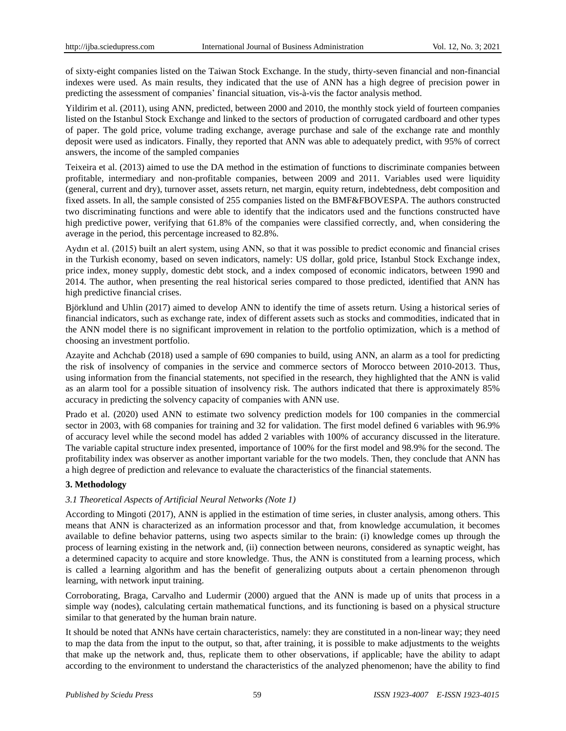of sixty-eight companies listed on the Taiwan Stock Exchange. In the study, thirty-seven financial and non-financial indexes were used. As main results, they indicated that the use of ANN has a high degree of precision power in predicting the assessment of companies" financial situation, vis-à-vis the factor analysis method.

Yildirim et al. (2011), using ANN, predicted, between 2000 and 2010, the monthly stock yield of fourteen companies listed on the Istanbul Stock Exchange and linked to the sectors of production of corrugated cardboard and other types of paper. The gold price, volume trading exchange, average purchase and sale of the exchange rate and monthly deposit were used as indicators. Finally, they reported that ANN was able to adequately predict, with 95% of correct answers, the income of the sampled companies

Teixeira et al. (2013) aimed to use the DA method in the estimation of functions to discriminate companies between profitable, intermediary and non-profitable companies, between 2009 and 2011. Variables used were liquidity (general, current and dry), turnover asset, assets return, net margin, equity return, indebtedness, debt composition and fixed assets. In all, the sample consisted of 255 companies listed on the BMF&FBOVESPA. The authors constructed two discriminating functions and were able to identify that the indicators used and the functions constructed have high predictive power, verifying that 61.8% of the companies were classified correctly, and, when considering the average in the period, this percentage increased to 82.8%.

Aydın et al. (2015) built an alert system, using ANN, so that it was possible to predict economic and financial crises in the Turkish economy, based on seven indicators, namely: US dollar, gold price, Istanbul Stock Exchange index, price index, money supply, domestic debt stock, and a index composed of economic indicators, between 1990 and 2014. The author, when presenting the real historical series compared to those predicted, identified that ANN has high predictive financial crises.

Björklund and Uhlin (2017) aimed to develop ANN to identify the time of assets return. Using a historical series of financial indicators, such as exchange rate, index of different assets such as stocks and commodities, indicated that in the ANN model there is no significant improvement in relation to the portfolio optimization, which is a method of choosing an investment portfolio.

Azayite and Achchab (2018) used a sample of 690 companies to build, using ANN, an alarm as a tool for predicting the risk of insolvency of companies in the service and commerce sectors of Morocco between 2010-2013. Thus, using information from the financial statements, not specified in the research, they highlighted that the ANN is valid as an alarm tool for a possible situation of insolvency risk. The authors indicated that there is approximately 85% accuracy in predicting the solvency capacity of companies with ANN use.

Prado et al. (2020) used ANN to estimate two solvency prediction models for 100 companies in the commercial sector in 2003, with 68 companies for training and 32 for validation. The first model defined 6 variables with 96.9% of accuracy level while the second model has added 2 variables with 100% of accurancy discussed in the literature. The variable capital structure index presented, importance of 100% for the first model and 98.9% for the second. The profitability index was observer as another important variable for the two models. Then, they conclude that ANN has a high degree of prediction and relevance to evaluate the characteristics of the financial statements.

# **3. Methodology**

# *3.1 Theoretical Aspects of Artificial Neural Networks (Note 1)*

According to Mingoti (2017), ANN is applied in the estimation of time series, in cluster analysis, among others. This means that ANN is characterized as an information processor and that, from knowledge accumulation, it becomes available to define behavior patterns, using two aspects similar to the brain: (i) knowledge comes up through the process of learning existing in the network and, (ii) connection between neurons, considered as synaptic weight, has a determined capacity to acquire and store knowledge. Thus, the ANN is constituted from a learning process, which is called a learning algorithm and has the benefit of generalizing outputs about a certain phenomenon through learning, with network input training.

Corroborating, Braga, Carvalho and Ludermir (2000) argued that the ANN is made up of units that process in a simple way (nodes), calculating certain mathematical functions, and its functioning is based on a physical structure similar to that generated by the human brain nature.

It should be noted that ANNs have certain characteristics, namely: they are constituted in a non-linear way; they need to map the data from the input to the output, so that, after training, it is possible to make adjustments to the weights that make up the network and, thus, replicate them to other observations, if applicable; have the ability to adapt according to the environment to understand the characteristics of the analyzed phenomenon; have the ability to find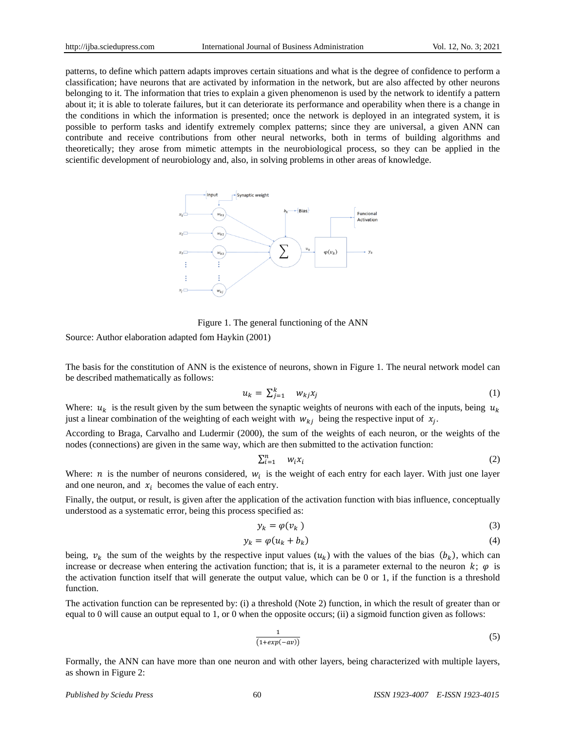patterns, to define which pattern adapts improves certain situations and what is the degree of confidence to perform a classification; have neurons that are activated by information in the network, but are also affected by other neurons belonging to it. The information that tries to explain a given phenomenon is used by the network to identify a pattern about it; it is able to tolerate failures, but it can deteriorate its performance and operability when there is a change in the conditions in which the information is presented; once the network is deployed in an integrated system, it is possible to perform tasks and identify extremely complex patterns; since they are universal, a given ANN can contribute and receive contributions from other neural networks, both in terms of building algorithms and theoretically; they arose from mimetic attempts in the neurobiological process, so they can be applied in the scientific development of neurobiology and, also, in solving problems in other areas of knowledge.



Figure 1. The general functioning of the ANN

Source: Author elaboration adapted fom Haykin (2001)

The basis for the constitution of ANN is the existence of neurons, shown in Figure 1. The neural network model can be described mathematically as follows:

$$
u_k = \sum_{j=1}^k \, w_{kj} x_j \tag{1}
$$

Where:  $u_k$  is the result given by the sum between the synaptic weights of neurons with each of the inputs, being  $u_k$ just a linear combination of the weighting of each weight with  $w_{ki}$  being the respective input of  $x_i$ .

According to Braga, Carvalho and Ludermir (2000), the sum of the weights of each neuron, or the weights of the nodes (connections) are given in the same way, which are then submitted to the activation function:

$$
\sum_{i=1}^{n} w_i x_i \tag{2}
$$

Where: *n* is the number of neurons considered,  $w_i$  is the weight of each entry for each layer. With just one layer and one neuron, and  $x_i$  becomes the value of each entry.

Finally, the output, or result, is given after the application of the activation function with bias influence, conceptually understood as a systematic error, being this process specified as:

$$
y_k = \varphi(v_k) \tag{3}
$$

$$
y_k = \varphi(u_k + b_k) \tag{4}
$$

being,  $v_k$  the sum of the weights by the respective input values  $(u_k)$  with the values of the bias  $(b_k)$ , which can increase or decrease when entering the activation function; that is, it is a parameter external to the neuron  $k$ ;  $\varphi$  is the activation function itself that will generate the output value, which can be 0 or 1, if the function is a threshold function.

The activation function can be represented by: (i) a threshold (Note 2) function, in which the result of greater than or equal to 0 will cause an output equal to 1, or 0 when the opposite occurs; (ii) a sigmoid function given as follows:

$$
\frac{1}{(1+exp(-av))}
$$
 (5)

Formally, the ANN can have more than one neuron and with other layers, being characterized with multiple layers, as shown in Figure 2: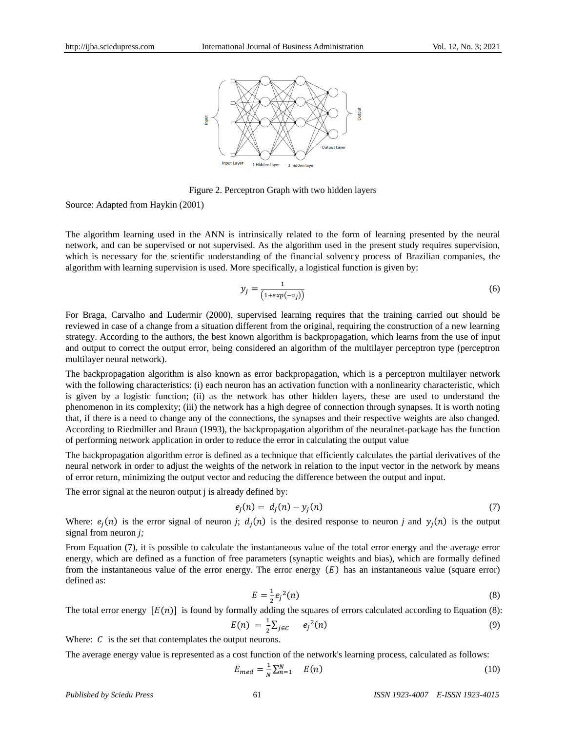

Figure 2. Perceptron Graph with two hidden layers

Source: Adapted from Haykin (2001)

The algorithm learning used in the ANN is intrinsically related to the form of learning presented by the neural network, and can be supervised or not supervised. As the algorithm used in the present study requires supervision, which is necessary for the scientific understanding of the financial solvency process of Brazilian companies, the algorithm with learning supervision is used. More specifically, a logistical function is given by:

$$
y_j = \frac{1}{\left(1 + exp(-v_j)\right)}\tag{6}
$$

For Braga, Carvalho and Ludermir (2000), supervised learning requires that the training carried out should be reviewed in case of a change from a situation different from the original, requiring the construction of a new learning strategy. According to the authors, the best known algorithm is backpropagation, which learns from the use of input and output to correct the output error, being considered an algorithm of the multilayer perceptron type (perceptron multilayer neural network).

The backpropagation algorithm is also known as error backpropagation, which is a perceptron multilayer network with the following characteristics: (i) each neuron has an activation function with a nonlinearity characteristic, which is given by a logistic function; (ii) as the network has other hidden layers, these are used to understand the phenomenon in its complexity; (iii) the network has a high degree of connection through synapses. It is worth noting that, if there is a need to change any of the connections, the synapses and their respective weights are also changed. According to Riedmiller and Braun (1993), the backpropagation algorithm of the neuralnet-package has the function of performing network application in order to reduce the error in calculating the output value

The backpropagation algorithm error is defined as a technique that efficiently calculates the partial derivatives of the neural network in order to adjust the weights of the network in relation to the input vector in the network by means of error return, minimizing the output vector and reducing the difference between the output and input.

The error signal at the neuron output *i* is already defined by:

$$
e_j(n) = d_j(n) - y_j(n) \tag{7}
$$

Where:  $e_i(n)$  is the error signal of neuron *j*;  $d_i(n)$  is the desired response to neuron *j* and  $y_i(n)$  is the output signal from neuron *j;*

From Equation (7), it is possible to calculate the instantaneous value of the total error energy and the average error energy, which are defined as a function of free parameters (synaptic weights and bias), which are formally defined from the instantaneous value of the error energy. The error energy  $(E)$  has an instantaneous value (square error) defined as:

$$
E = \frac{1}{2} e_j^2(n)
$$
 (8)

The total error energy  $[E(n)]$  is found by formally adding the squares of errors calculated according to Equation (8):

$$
E(n) = \frac{1}{2} \sum_{j \in C} e_j^2(n) \tag{9}
$$

Where:  $C$  is the set that contemplates the output neurons.

The average energy value is represented as a cost function of the network's learning process, calculated as follows:

$$
E_{med} = \frac{1}{N} \sum_{n=1}^{N} E(n) \tag{10}
$$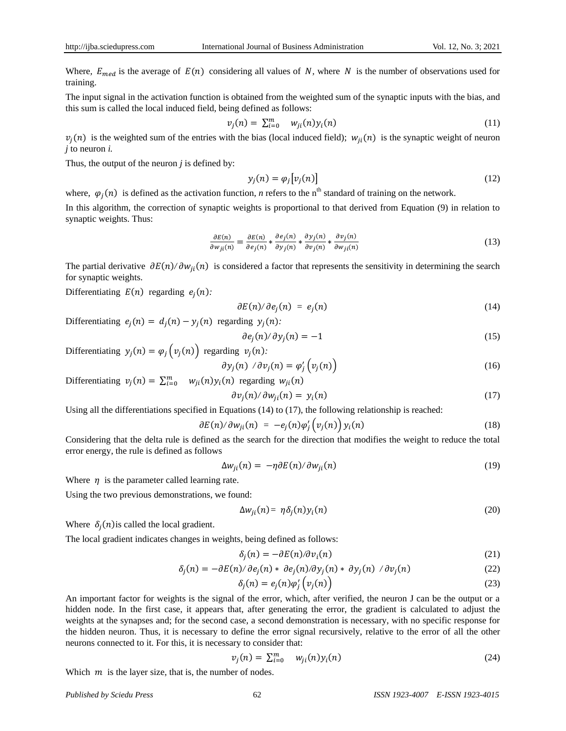Where,  $E_{med}$  is the average of  $E(n)$  considering all values of *N*, where *N* is the number of observations used for training.

The input signal in the activation function is obtained from the weighted sum of the synaptic inputs with the bias, and this sum is called the local induced field, being defined as follows:

$$
v_j(n) = \sum_{i=0}^m w_{ji}(n) y_i(n) \qquad (11)
$$

 $v_j(n)$  is the weighted sum of the entries with the bias (local induced field);  $w_{ji}(n)$  is the synaptic weight of neuron *j* to neuron *i.*

Thus, the output of the neuron *j* is defined by:

$$
y_i(n) = \varphi_i[v_i(n)] \tag{12}
$$

where,  $\varphi_i(n)$  is defined as the activation function, *n* refers to the n<sup>th</sup> standard of training on the network.

In this algorithm, the correction of synaptic weights is proportional to that derived from Equation (9) in relation to synaptic weights. Thus:

$$
\frac{\partial E(n)}{\partial w_{ji}(n)} = \frac{\partial E(n)}{\partial e_j(n)} * \frac{\partial e_j(n)}{\partial y_j(n)} * \frac{\partial y_j(n)}{\partial v_j(n)} * \frac{\partial v_j(n)}{\partial w_{ji}(n)}
$$
(13)

The partial derivative  $\partial E(n)/\partial w_{ii}(n)$  is considered a factor that represents the sensitivity in determining the search for synaptic weights.

Differentiating  $E(n)$  regarding  $e_i(n)$ :

$$
\partial E(n)/\partial e_j(n) = e_j(n) \tag{14}
$$

Differentiating  $e_i(n) = d_i(n) - y_i(n)$  regarding  $y_i(n)$ :

$$
\partial e_j(n)/\partial y_j(n) = -1 \tag{15}
$$

Differentiating  $y_i(n) = \varphi_i(v_i(n))$  regarding  $v_i(n)$ :

$$
\partial y_j(n) / \partial v_j(n) = \varphi'_j\left(v_j(n)\right) \tag{16}
$$

Differentiating  $v_j(n) = \sum_{i=0}^m w_{ji}(n) y_i(n)$  regarding  $w_{ji}(n)$ 

$$
\partial v_j(n)/\partial w_{ji}(n) = y_i(n) \tag{17}
$$

Using all the differentiations specified in Equations (14) to (17), the following relationship is reached:

$$
\partial E(n)/\partial w_{ji}(n) = -e_j(n)\varphi'_j\big(v_j(n)\big)y_i(n) \qquad (18)
$$

Considering that the delta rule is defined as the search for the direction that modifies the weight to reduce the total error energy, the rule is defined as follows

$$
\Delta w_{ii}(n) = -\eta \partial E(n) / \partial w_{ii}(n) \tag{19}
$$

Where  $\eta$  is the parameter called learning rate.

Using the two previous demonstrations, we found:

$$
\Delta w_{ii}(n) = \eta \delta_i(n) y_i(n) \tag{20}
$$

Where  $\delta_i(n)$  is called the local gradient.

The local gradient indicates changes in weights, being defined as follows:

$$
\delta_i(n) = -\partial E(n)/\partial v_i(n) \tag{21}
$$

$$
\delta_j(n) = -\partial E(n)/\partial e_j(n) * \partial e_j(n)/\partial y_j(n) * \partial y_j(n) / \partial v_j(n)
$$
\n(22)

$$
\delta_j(n) = e_j(n)\varphi'_j\left(v_j(n)\right) \tag{23}
$$

An important factor for weights is the signal of the error, which, after verified, the neuron J can be the output or a hidden node. In the first case, it appears that, after generating the error, the gradient is calculated to adjust the weights at the synapses and; for the second case, a second demonstration is necessary, with no specific response for the hidden neuron. Thus, it is necessary to define the error signal recursively, relative to the error of all the other neurons connected to it. For this, it is necessary to consider that:

$$
v_j(n) = \sum_{i=0}^m w_{ji}(n) y_i(n) \tag{24}
$$

Which  $m$  is the layer size, that is, the number of nodes.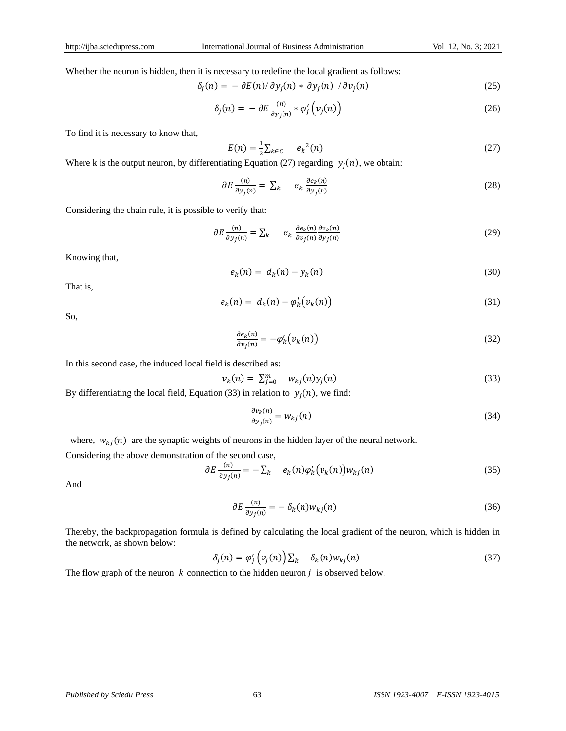Whether the neuron is hidden, then it is necessary to redefine the local gradient as follows:

$$
\delta_j(n) = -\partial E(n)/\partial y_j(n) * \partial y_j(n) / \partial v_j(n)
$$
\n(25)

$$
\delta_j(n) = -\partial E \frac{(n)}{\partial y_j(n)} * \varphi'_j \left( v_j(n) \right) \tag{26}
$$

To find it is necessary to know that,

$$
E(n) = \frac{1}{2} \sum_{k \in C} e_k^2(n) \tag{27}
$$

Where k is the output neuron, by differentiating Equation (27) regarding  $y_i(n)$ , we obtain:

$$
\partial E \frac{(n)}{\partial y_j(n)} = \sum_k \qquad e_k \frac{\partial e_k(n)}{\partial y_j(n)} \tag{28}
$$

Considering the chain rule, it is possible to verify that:

$$
\partial E \frac{(n)}{\partial y_j(n)} = \sum_k \qquad e_k \frac{\partial e_k(n)}{\partial v_j(n)} \frac{\partial v_k(n)}{\partial y_j(n)} \tag{29}
$$

Knowing that,

$$
e_k(n) = d_k(n) - y_k(n) \tag{30}
$$

That is,

$$
e_k(n) = d_k(n) - \varphi'_k(\nu_k(n))
$$
\n(31)

So,

$$
\frac{\partial e_k(n)}{\partial v_j(n)} = -\varphi'_k(v_k(n))\tag{32}
$$

In this second case, the induced local field is described as:

$$
v_k(n) = \sum_{j=0}^m w_{kj}(n)y_j(n) \tag{33}
$$

By differentiating the local field, Equation (33) in relation to  $y_i(n)$ , we find:

$$
\frac{\partial v_k(n)}{\partial y_j(n)} = w_{kj}(n) \tag{34}
$$

where,  $w_{ki}(n)$  are the synaptic weights of neurons in the hidden layer of the neural network.

Considering the above demonstration of the second case,

$$
\partial E \frac{(n)}{\partial y_j(n)} = -\sum_k e_k(n) \varphi'_k(v_k(n)) w_{kj}(n) \tag{35}
$$

And

$$
\partial E \frac{(n)}{\partial y_j(n)} = -\delta_k(n) w_{kj}(n) \tag{36}
$$

Thereby, the backpropagation formula is defined by calculating the local gradient of the neuron, which is hidden in the network, as shown below:

$$
\delta_j(n) = \varphi'_j\left(v_j(n)\right)\sum_k \delta_k(n)w_{kj}(n) \tag{37}
$$

The flow graph of the neuron  $k$  connection to the hidden neuron  $j$  is observed below.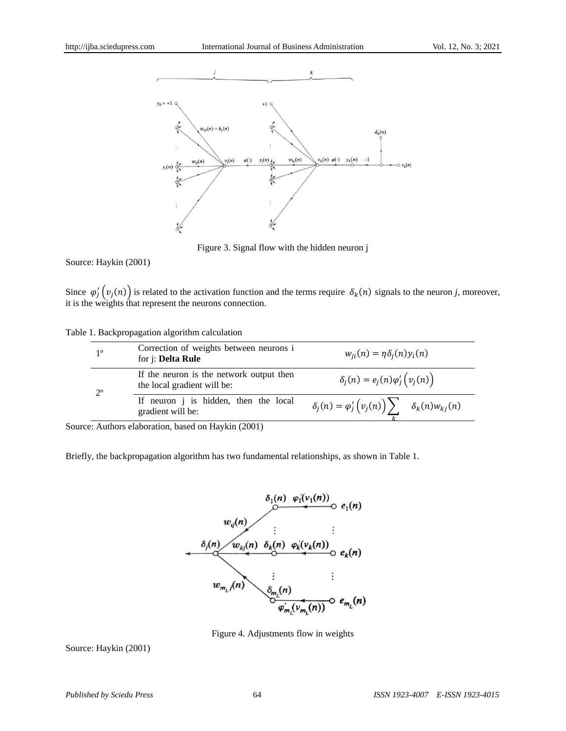

Figure 3. Signal flow with the hidden neuron j

Source: Haykin (2001)

Since  $\varphi'_i(v_i(n))$  is related to the activation function and the terms require  $\delta_k(n)$  signals to the neuron *j*, moreover, it is the weights that represent the neurons connection.

|  | Table 1. Backpropagation algorithm calculation |  |  |  |
|--|------------------------------------------------|--|--|--|
|--|------------------------------------------------|--|--|--|

| 1 <sup>o</sup> | Correction of weights between neurons i<br>for j: Delta Rule            | $w_{ii}(n) = \eta \delta_i(n) y_i(n)$                                       |  |  |
|----------------|-------------------------------------------------------------------------|-----------------------------------------------------------------------------|--|--|
| $2^{\circ}$    | If the neuron is the network output then<br>the local gradient will be: | $\delta_i(n) = e_i(n) \varphi'_i \left( v_i(n) \right)$                     |  |  |
|                | If neuron <i>j</i> is hidden, then the local<br>gradient will be:       | $\delta_j(n) = \varphi'_j\big(\nu_j(n)\big)\sum$<br>$\delta_k(n) w_{ki}(n)$ |  |  |

Source: Authors elaboration, based on Haykin (2001)

Briefly, the backpropagation algorithm has two fundamental relationships, as shown in Table 1.



Figure 4. Adjustments flow in weights

Source: Haykin (2001)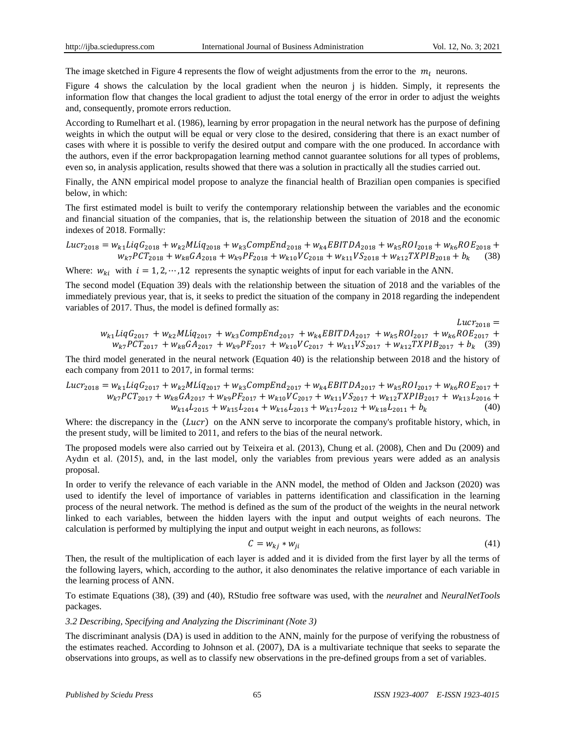The image sketched in Figure 4 represents the flow of weight adjustments from the error to the  $m<sub>i</sub>$  neurons.

Figure 4 shows the calculation by the local gradient when the neuron j is hidden. Simply, it represents the information flow that changes the local gradient to adjust the total energy of the error in order to adjust the weights and, consequently, promote errors reduction.

According to Rumelhart et al. (1986), learning by error propagation in the neural network has the purpose of defining weights in which the output will be equal or very close to the desired, considering that there is an exact number of cases with where it is possible to verify the desired output and compare with the one produced. In accordance with the authors, even if the error backpropagation learning method cannot guarantee solutions for all types of problems, even so, in analysis application, results showed that there was a solution in practically all the studies carried out.

Finally, the ANN empirical model propose to analyze the financial health of Brazilian open companies is specified below, in which:

The first estimated model is built to verify the contemporary relationship between the variables and the economic and financial situation of the companies, that is, the relationship between the situation of 2018 and the economic indexes of 2018. Formally:

$$
Lucr_{2018} = w_{k1}LiqG_{2018} + w_{k2}MLiq_{2018} + w_{k3}CompEnd_{2018} + w_{k4}EBITDA_{2018} + w_{k5}ROI_{2018} + w_{k6}ROE_{2018} + w_{k7}PCT_{2018} + w_{k8}GA_{2018} + w_{k9}PF_{2018} + w_{k10}VC_{2018} + w_{k11}VS_{2018} + w_{k12}TXPIB_{2018} + b_k
$$
 (38)

Where:  $w_{ki}$  with  $i = 1, 2, \dots, 12$  represents the synaptic weights of input for each variable in the ANN.

The second model (Equation 39) deals with the relationship between the situation of 2018 and the variables of the immediately previous year, that is, it seeks to predict the situation of the company in 2018 regarding the independent variables of 2017. Thus, the model is defined formally as:

$$
u_{k1}LiqG_{2017} + w_{k2}MLiq_{2017} + w_{k3}CompEnd_{2017} + w_{k4}EBITDA_{2017} + w_{k5}ROI_{2017} + w_{k6} ROE_{2017} + w_{k7} PCT_{2017} + w_{k6} GA_{2017} + w_{k9} PF_{2017} + w_{k10} VC_{2017} + w_{k11} VS_{2017} + w_{k12} TXPIB_{2017} + b_k
$$
 (39)

The third model generated in the neural network (Equation 40) is the relationship between 2018 and the history of each company from 2011 to 2017, in formal terms:

$$
Lucr2018 = wk1LiqG2017 + wk2MLiq2017 + wk3CompEnd2017 + wk4EBITDA2017 + wk5ROI2017 + wk6ROE2017 +wk7PCT2017 + wk8GA2017 + wk9PF2017 + wk10VC2017 + wk11VS2017 + wk12TXPIB2017 + wk13L2016 +wk14L2015 + wk15L2014 + wk16L2013 + wk17L2012 + wk18L2011 + bk
$$
 (40)

Where: the discrepancy in the  $(Lucr)$  on the ANN serve to incorporate the company's profitable history, which, in the present study, will be limited to 2011, and refers to the bias of the neural network.

The proposed models were also carried out by Teixeira et al. (2013), Chung et al. (2008), Chen and Du (2009) and Aydın et al. (2015), and, in the last model, only the variables from previous years were added as an analysis proposal.

In order to verify the relevance of each variable in the ANN model, the method of Olden and Jackson (2020) was used to identify the level of importance of variables in patterns identification and classification in the learning process of the neural network. The method is defined as the sum of the product of the weights in the neural network linked to each variables, between the hidden layers with the input and output weights of each neurons. The calculation is performed by multiplying the input and output weight in each neurons, as follows:

$$
C = w_{kj} * w_{ji} \tag{41}
$$

Then, the result of the multiplication of each layer is added and it is divided from the first layer by all the terms of the following layers, which, according to the author, it also denominates the relative importance of each variable in the learning process of ANN.

To estimate Equations (38), (39) and (40), RStudio free software was used, with the *neuralnet* and *NeuralNetTools* packages.

# *3.2 Describing, Specifying and Analyzing the Discriminant (Note 3)*

The discriminant analysis (DA) is used in addition to the ANN, mainly for the purpose of verifying the robustness of the estimates reached. According to Johnson et al. (2007), DA is a multivariate technique that seeks to separate the observations into groups, as well as to classify new observations in the pre-defined groups from a set of variables.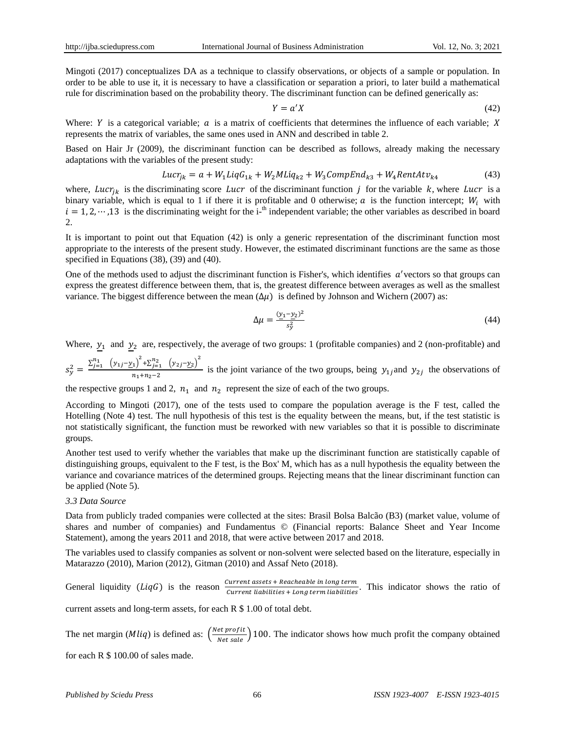Mingoti (2017) conceptualizes DA as a technique to classify observations, or objects of a sample or population. In order to be able to use it, it is necessary to have a classification or separation a priori, to later build a mathematical rule for discrimination based on the probability theory. The discriminant function can be defined generically as:

$$
Y = a'X \tag{42}
$$

Where: Y is a categorical variable;  $\alpha$  is a matrix of coefficients that determines the influence of each variable; X represents the matrix of variables, the same ones used in ANN and described in table 2.

Based on Hair Jr (2009), the discriminant function can be described as follows, already making the necessary adaptations with the variables of the present study:

$$
Lucr_{ik} = a + W_1 LiqG_{1k} + W_2MLiq_{k2} + W_3CompEnd_{k3} + W_4RentAtv_{k4}
$$
 (43)

where, Lucr<sub>ik</sub> is the discriminating score Lucr of the discriminant function j for the variable k, where Lucr is a binary variable, which is equal to 1 if there it is profitable and 0 otherwise; a is the function intercept;  $W_i$  with  $i = 1, 2, \dots, 13$  is the discriminating weight for the i-<sup>th</sup> independent variable; the other variables as described in board  $2.$ 

It is important to point out that Equation (42) is only a generic representation of the discriminant function most appropriate to the interests of the present study. However, the estimated discriminant functions are the same as those specified in Equations (38), (39) and (40).

One of the methods used to adjust the discriminant function is Fisher's, which identifies  $a'$ vectors so that groups can express the greatest difference between them, that is, the greatest difference between averages as well as the smallest variance. The biggest difference between the mean  $(\Delta \mu)$  is defined by Johnson and Wichern (2007) as:

$$
\Delta \mu = \frac{(y_1 - y_2)^2}{s_y^2} \tag{44}
$$

Where,  $y_1$  and  $y_2$  are, respectively, the average of two groups: 1 (profitable companies) and 2 (non-profitable) and

 $S_{\gamma}^{2} = \frac{\sum_{j=1}^{n_{1}} (y_{1j} - y_{1})^{2} + \sum_{j=1}^{n_{2}} (y_{2j} - y_{2})^{2}}{n_{1} + n_{2} + n_{3}}$  $\frac{f_1}{n_1+n_2-2}$  is the joint variance of the two groups, being  $y_{1j}$  and  $y_{2j}$  the observations of

the respective groups 1 and 2,  $n_1$  and  $n_2$  represent the size of each of the two groups.

According to Mingoti (2017), one of the tests used to compare the population average is the F test, called the Hotelling (Note 4) test. The null hypothesis of this test is the equality between the means, but, if the test statistic is not statistically significant, the function must be reworked with new variables so that it is possible to discriminate groups.

Another test used to verify whether the variables that make up the discriminant function are statistically capable of distinguishing groups, equivalent to the F test, is the Box' M, which has as a null hypothesis the equality between the variance and covariance matrices of the determined groups. Rejecting means that the linear discriminant function can be applied (Note 5).

#### *3.3 Data Source*

Data from publicly traded companies were collected at the sites: Brasil Bolsa Balcão (B3) (market value, volume of shares and number of companies) and Fundamentus © (Financial reports: Balance Sheet and Year Income Statement), among the years 2011 and 2018, that were active between 2017 and 2018.

The variables used to classify companies as solvent or non-solvent were selected based on the literature, especially in Matarazzo (2010), Marion (2012), Gitman (2010) and Assaf Neto (2018).

General liquidity (*LiqG*) is the reason  $\frac{current \,ussets + Neath \, cluster \, and \, length}{current \, liabilities + Long \, term \, liabilities}$ . This indicator shows the ratio of

current assets and long-term assets, for each R \$ 1.00 of total debt.

The net margin (*Mliq*) is defined as:  $\left(\frac{Net\ profit}{Net\ sale}\right)$  100. The indicator shows how much profit the company obtained

for each R \$ 100.00 of sales made.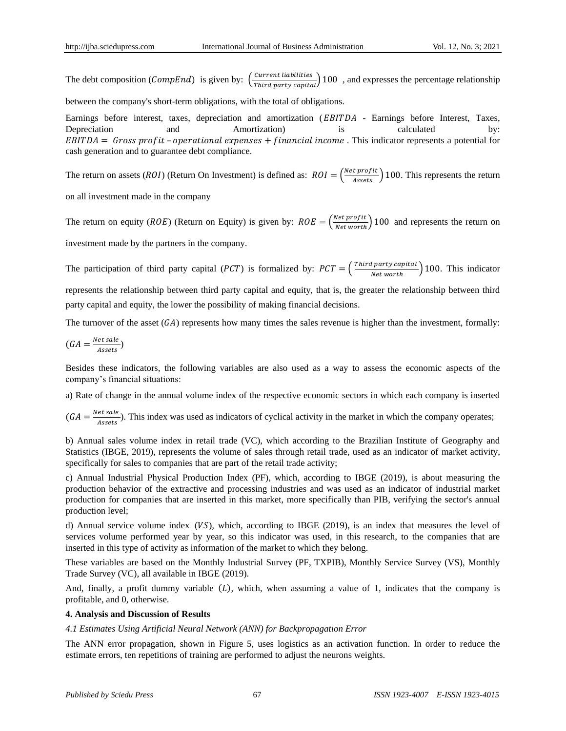The debt composition (*CompEnd*) is given by:  $\left(\frac{Current\; liabilities}{Third\;party\; capital}\right)$  100, and expresses the percentage relationship

between the company's short-term obligations, with the total of obligations.

Earnings before interest, taxes, depreciation and amortization (*EBITDA* - Earnings before Interest, Taxes, Depreciation and Amortization) is calculated by:  $EBITDA = Gross profit - operational expenses + financial income$ . This indicator represents a potential for cash generation and to guarantee debt compliance.

The return on assets (*ROI*) (Return On Investment) is defined as:  $ROI = \frac{Net profit}{Assets}$ ) 100. This represents the return

on all investment made in the company

The return on equity (*ROE*) (Return on Equity) is given by:  $ROE = \left(\frac{N}{2}\right)$  $\frac{\pi c}{\pi}$  (return on  $\frac{\pi}{\pi}$ ) 100 and represents the return on

investment made by the partners in the company.

The participation of third party capital (*PCT*) is formalized by:  $PCT = \left(\frac{T}{T}\right)^{T}$  $\frac{F_{\text{part}}}{\text{Net worth}}$ ) 100. This indicator represents the relationship between third party capital and equity, that is, the greater the relationship between third

party capital and equity, the lower the possibility of making financial decisions.

The turnover of the asset  $(GA)$  represents how many times the sales revenue is higher than the investment, formally:

$$
(GA = \frac{Net\, sale}{Assets})
$$

Besides these indicators, the following variables are also used as a way to assess the economic aspects of the company"s financial situations:

a) Rate of change in the annual volume index of the respective economic sectors in which each company is inserted

 $(GA = \frac{N}{2})$  $\frac{eV}{\text{S}}$ ). This index was used as indicators of cyclical activity in the market in which the company operates;

b) Annual sales volume index in retail trade (VC), which according to the Brazilian Institute of Geography and Statistics (IBGE, 2019), represents the volume of sales through retail trade, used as an indicator of market activity, specifically for sales to companies that are part of the retail trade activity;

c) Annual Industrial Physical Production Index (PF), which, according to IBGE (2019), is about measuring the production behavior of the extractive and processing industries and was used as an indicator of industrial market production for companies that are inserted in this market, more specifically than PIB, verifying the sector's annual production level;

d) Annual service volume index  $(VS)$ , which, according to IBGE (2019), is an index that measures the level of services volume performed year by year, so this indicator was used, in this research, to the companies that are inserted in this type of activity as information of the market to which they belong.

These variables are based on the Monthly Industrial Survey (PF, TXPIB), Monthly Service Survey (VS), Monthly Trade Survey (VC), all available in IBGE (2019).

And, finally, a profit dummy variable  $(L)$ , which, when assuming a value of 1, indicates that the company is profitable, and 0, otherwise.

#### **4. Analysis and Discussion of Results**

# *4.1 Estimates Using Artificial Neural Network (ANN) for Backpropagation Error*

The ANN error propagation, shown in Figure 5, uses logistics as an activation function. In order to reduce the estimate errors, ten repetitions of training are performed to adjust the neurons weights.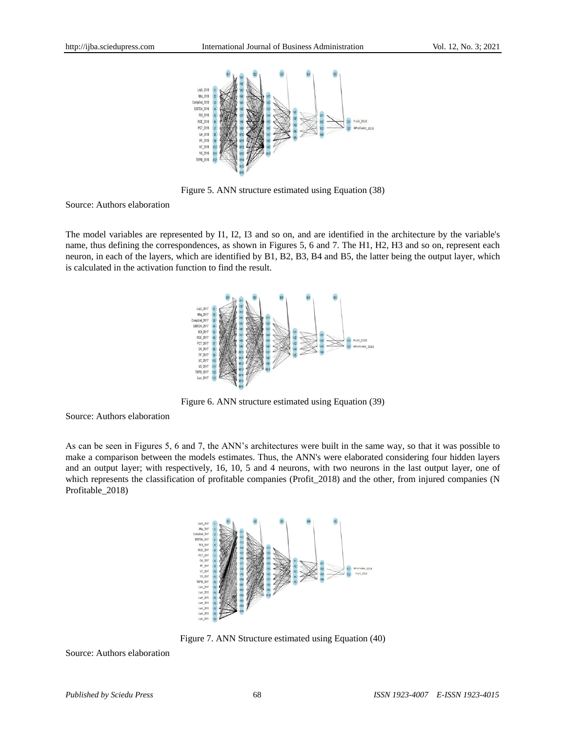

Figure 5. ANN structure estimated using Equation (38)

Source: Authors elaboration

The model variables are represented by I1, I2, I3 and so on, and are identified in the architecture by the variable's name, thus defining the correspondences, as shown in Figures 5, 6 and 7. The H1, H2, H3 and so on, represent each neuron, in each of the layers, which are identified by B1, B2, B3, B4 and B5, the latter being the output layer, which is calculated in the activation function to find the result.



Figure 6. ANN structure estimated using Equation (39)

Source: Authors elaboration

As can be seen in Figures 5, 6 and 7, the ANN"s architectures were built in the same way, so that it was possible to make a comparison between the models estimates. Thus, the ANN's were elaborated considering four hidden layers and an output layer; with respectively, 16, 10, 5 and 4 neurons, with two neurons in the last output layer, one of which represents the classification of profitable companies (Profit\_2018) and the other, from injured companies (N Profitable\_2018)



Figure 7. ANN Structure estimated using Equation (40)

Source: Authors elaboration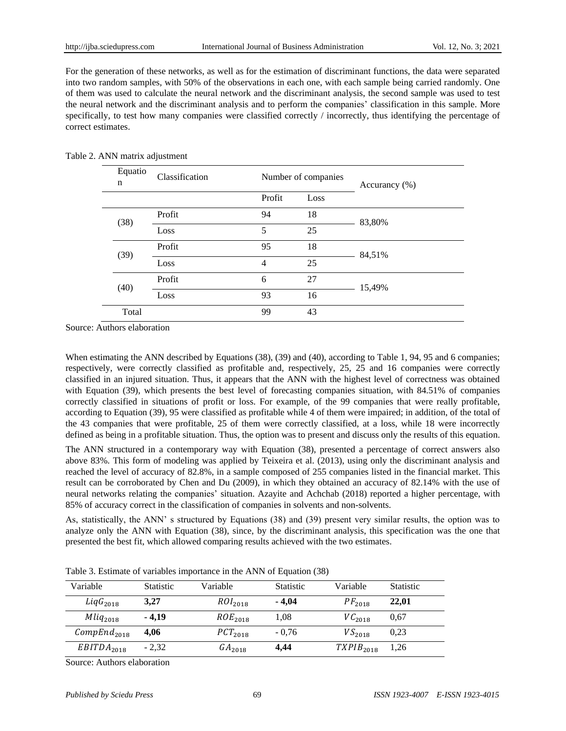For the generation of these networks, as well as for the estimation of discriminant functions, the data were separated into two random samples, with 50% of the observations in each one, with each sample being carried randomly. One of them was used to calculate the neural network and the discriminant analysis, the second sample was used to test the neural network and the discriminant analysis and to perform the companies" classification in this sample. More specifically, to test how many companies were classified correctly / incorrectly, thus identifying the percentage of correct estimates.

|  | Equatio<br>n | Classification |                | Number of companies | Accurancy $(\% )$ |  |
|--|--------------|----------------|----------------|---------------------|-------------------|--|
|  |              |                | Profit         | Loss                |                   |  |
|  | (38)         | Profit         | 94             | 18                  | 83,80%            |  |
|  |              | Loss           | 5              | 25                  |                   |  |
|  |              | Profit         | 95             | 18                  | 84,51%            |  |
|  | (39)         | Loss           | $\overline{4}$ | 25                  |                   |  |
|  | (40)         | Profit         | 6              | 27                  | 15,49%            |  |
|  |              | Loss           | 93             | 16                  |                   |  |
|  | Total        |                | 99             | 43                  |                   |  |

Source: Authors elaboration

When estimating the ANN described by Equations (38), (39) and (40), according to Table 1, 94, 95 and 6 companies; respectively, were correctly classified as profitable and, respectively, 25, 25 and 16 companies were correctly classified in an injured situation. Thus, it appears that the ANN with the highest level of correctness was obtained with Equation (39), which presents the best level of forecasting companies situation, with 84.51% of companies correctly classified in situations of profit or loss. For example, of the 99 companies that were really profitable, according to Equation (39), 95 were classified as profitable while 4 of them were impaired; in addition, of the total of the 43 companies that were profitable, 25 of them were correctly classified, at a loss, while 18 were incorrectly defined as being in a profitable situation. Thus, the option was to present and discuss only the results of this equation.

The ANN structured in a contemporary way with Equation (38), presented a percentage of correct answers also above 83%. This form of modeling was applied by Teixeira et al. (2013), using only the discriminant analysis and reached the level of accuracy of 82.8%, in a sample composed of 255 companies listed in the financial market. This result can be corroborated by Chen and Du (2009), in which they obtained an accuracy of 82.14% with the use of neural networks relating the companies" situation. Azayite and Achchab (2018) reported a higher percentage, with 85% of accuracy correct in the classification of companies in solvents and non-solvents.

As, statistically, the ANN" s structured by Equations (38) and (39) present very similar results, the option was to analyze only the ANN with Equation (38), since, by the discriminant analysis, this specification was the one that presented the best fit, which allowed comparing results achieved with the two estimates.

| Variable                | <b>Statistic</b> | Variable            | <b>Statistic</b> | Variable       | <b>Statistic</b> |
|-------------------------|------------------|---------------------|------------------|----------------|------------------|
| $LiqG_{2018}$           | 3,27             | $ROI_{2018}$        | $-4,04$          | $PF_{2018}$    | 22,01            |
| $Mliq_{2018}$           | $-4.19$          | ROE <sub>2018</sub> | 1,08             | $VC_{2018}$    | 0.67             |
| CompEnd <sub>2018</sub> | 4.06             | $PCT_{2018}$        | $-0.76$          | $VS_{2018}$    | 0.23             |
| EBITDA <sub>2018</sub>  | $-2,32$          | $GA_{2018}$         | 4,44             | $TXPIB_{2018}$ | 1,26             |

Table 3. Estimate of variables importance in the ANN of Equation (38)

Source: Authors elaboration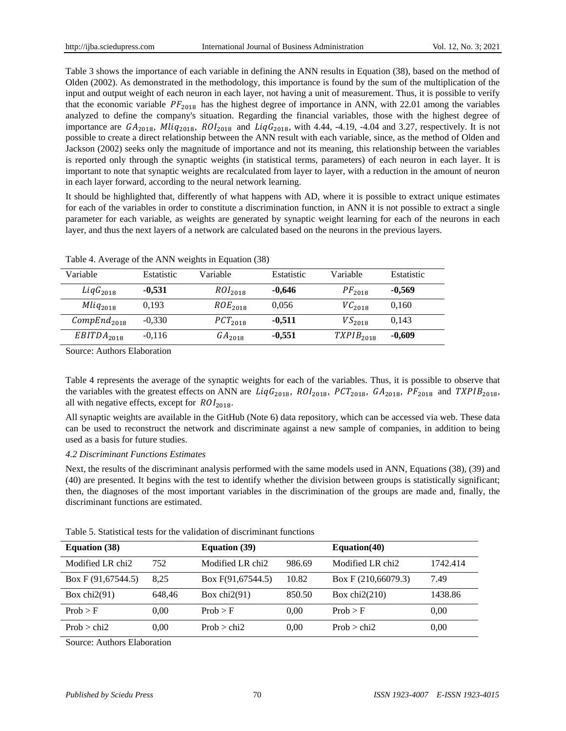Table 3 shows the importance of each variable in defining the ANN results in Equation (38), based on the method of Olden (2002). As demonstrated in the methodology, this importance is found by the sum of the multiplication of the input and output weight of each neuron in each layer, not having a unit of measurement. Thus, it is possible to verify that the economic variable  $PF_{2018}$  has the highest degree of importance in ANN, with 22.01 among the variables analyzed to define the company's situation. Regarding the financial variables, those with the highest degree of importance are  $GA_{2018}$ ,  $Milq_{2018}$ ,  $ROI_{2018}$  and  $LiqG_{2018}$ , with 4.44, -4.19, -4.04 and 3.27, respectively. It is not possible to create a direct relationship between the ANN result with each variable, since, as the method of Olden and Jackson (2002) seeks only the magnitude of importance and not its meaning, this relationship between the variables is reported only through the synaptic weights (in statistical terms, parameters) of each neuron in each layer. It is important to note that synaptic weights are recalculated from layer to layer, with a reduction in the amount of neuron in each layer forward, according to the neural network learning.

It should be highlighted that, differently of what happens with AD, where it is possible to extract unique estimates for each of the variables in order to constitute a discrimination function, in ANN it is not possible to extract a single parameter for each variable, as weights are generated by synaptic weight learning for each of the neurons in each layer, and thus the next layers of a network are calculated based on the neurons in the previous layers.

| Variable                | <b>Estatistic</b> | Variable            | Estatistic | Variable       | Estatistic |
|-------------------------|-------------------|---------------------|------------|----------------|------------|
| $LiqG_{2018}$           | $-0.531$          | ROI <sub>2018</sub> | $-0.646$   | $PF_{2018}$    | $-0.569$   |
| $Mliq_{2018}$           | 0.193             | ROE <sub>2018</sub> | 0,056      | $VC_{2018}$    | 0,160      |
| CompEnd <sub>2018</sub> | $-0,330$          | $PCT_{2018}$        | $-0.511$   | $VS_{2018}$    | 0.143      |
| EBITDA <sub>2018</sub>  | $-0,116$          | $GA_{2018}$         | $-0.551$   | $TXPIB_{2018}$ | $-0,609$   |

Table 4. Average of the ANN weights in Equation (38)

Source: Authors Elaboration

Table 4 represents the average of the synaptic weights for each of the variables. Thus, it is possible to observe that the variables with the greatest effects on ANN are  $LiqG_{2018}$ ,  $ROI_{2018}$ ,  $PCT_{2018}$ ,  $GA_{2018}$ ,  $PF_{2018}$  and  $TXPIB_{2018}$ , all with negative effects, except for  $ROL<sub>2018</sub>$ .

All synaptic weights are available in the [GitHub](https://github.com/VargasEmanuel/RNA-AD-FinancialSA) (Note 6) data repository, which can be accessed via web. These data can be used to reconstruct the network and discriminate against a new sample of companies, in addition to being used as a basis for future studies.

#### *4.2 Discriminant Functions Estimates*

Next, the results of the discriminant analysis performed with the same models used in ANN, Equations (38), (39) and (40) are presented. It begins with the test to identify whether the division between groups is statistically significant; then, the diagnoses of the most important variables in the discrimination of the groups are made and, finally, the discriminant functions are estimated.

|  |  |  | Table 5. Statistical tests for the validation of discriminant functions |  |
|--|--|--|-------------------------------------------------------------------------|--|
|  |  |  |                                                                         |  |

| <b>Equation</b> (38) |        | <b>Equation</b> (39) |        | Equation $(40)$       |          |
|----------------------|--------|----------------------|--------|-----------------------|----------|
| Modified LR chi2     | 752    | Modified LR chi2     | 986.69 | Modified LR chi2      | 1742.414 |
| Box F $(91,67544.5)$ | 8.25   | Box $F(91,67544.5)$  | 10.82  | Box F $(210,66079.3)$ | 7.49     |
| Box chi $2(91)$      | 648.46 | Box chi $2(91)$      | 850.50 | Box chi $2(210)$      | 1438.86  |
| Prob > F             | 0.00   | Prob > F             | 0.00   | Prob > F              | 0.00     |
| Prob > chi2          | 0.00   | Prob $>$ chi2        | 0.00   | Prob > chi2           | 0.00     |

Source: Authors Elaboration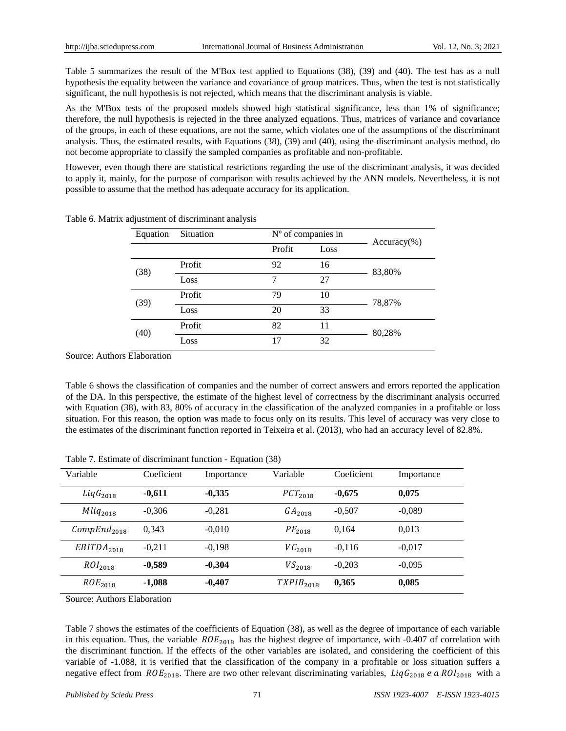Table 5 summarizes the result of the M'Box test applied to Equations (38), (39) and (40). The test has as a null hypothesis the equality between the variance and covariance of group matrices. Thus, when the test is not statistically significant, the null hypothesis is not rejected, which means that the discriminant analysis is viable.

As the M'Box tests of the proposed models showed high statistical significance, less than 1% of significance; therefore, the null hypothesis is rejected in the three analyzed equations. Thus, matrices of variance and covariance of the groups, in each of these equations, are not the same, which violates one of the assumptions of the discriminant analysis. Thus, the estimated results, with Equations (38), (39) and (40), using the discriminant analysis method, do not become appropriate to classify the sampled companies as profitable and non-profitable.

However, even though there are statistical restrictions regarding the use of the discriminant analysis, it was decided to apply it, mainly, for the purpose of comparison with results achieved by the ANN models. Nevertheless, it is not possible to assume that the method has adequate accuracy for its application.

| Equation | Situation | N °of companies in |      | $Accuracy$ %) |  |
|----------|-----------|--------------------|------|---------------|--|
|          |           | Profit             | Loss |               |  |
| (38)     | Profit    | 92                 | 16   | 83,80%        |  |
|          | Loss      | 7                  | 27   |               |  |
| (39)     | Profit    | 79                 | 10   | 78,87%        |  |
|          | Loss      | 20                 | 33   |               |  |
| (40)     | Profit    | 82                 | 11   | 80,28%        |  |
|          | Loss      | 17                 | 32   |               |  |

Table 6. Matrix adjustment of discriminant analysis

Source: Authors Elaboration

Table 6 shows the classification of companies and the number of correct answers and errors reported the application of the DA. In this perspective, the estimate of the highest level of correctness by the discriminant analysis occurred with Equation (38), with 83, 80% of accuracy in the classification of the analyzed companies in a profitable or loss situation. For this reason, the option was made to focus only on its results. This level of accuracy was very close to the estimates of the discriminant function reported in Teixeira et al. (2013), who had an accuracy level of 82.8%.

|  | Table 7. Estimate of discriminant function - Equation (38) |  |  |  |  |  |
|--|------------------------------------------------------------|--|--|--|--|--|
|--|------------------------------------------------------------|--|--|--|--|--|

| Variable                | Coeficient | Importance | Variable           | Coeficient | Importance |
|-------------------------|------------|------------|--------------------|------------|------------|
| $LiqG_{2018}$           | $-0,611$   | $-0,335$   | $PCT_{2018}$       | $-0,675$   | 0.075      |
| $Mliq_{2018}$           | $-0.306$   | $-0.281$   | GA <sub>2018</sub> | $-0.507$   | $-0.089$   |
| CompEnd <sub>2018</sub> | 0.343      | $-0.010$   | $PF_{2018}$        | 0.164      | 0,013      |
| EBITDA <sub>2018</sub>  | $-0.211$   | $-0.198$   | $VC_{2018}$        | $-0.116$   | $-0.017$   |
| ROI <sub>2018</sub>     | $-0,589$   | $-0.304$   | $VS_{2018}$        | $-0.203$   | $-0.095$   |
| ROE <sub>2018</sub>     | $-1,088$   | $-0,407$   | $TXPIB_{2018}$     | 0,365      | 0,085      |

Source: Authors Elaboration

Table 7 shows the estimates of the coefficients of Equation (38), as well as the degree of importance of each variable in this equation. Thus, the variable  $ROE<sub>2018</sub>$  has the highest degree of importance, with -0.407 of correlation with the discriminant function. If the effects of the other variables are isolated, and considering the coefficient of this variable of -1.088, it is verified that the classification of the company in a profitable or loss situation suffers a negative effect from  $ROE_{2018}$ . There are two other relevant discriminating variables, Liq $G_{2018}$  e a  $ROI_{2018}$  with a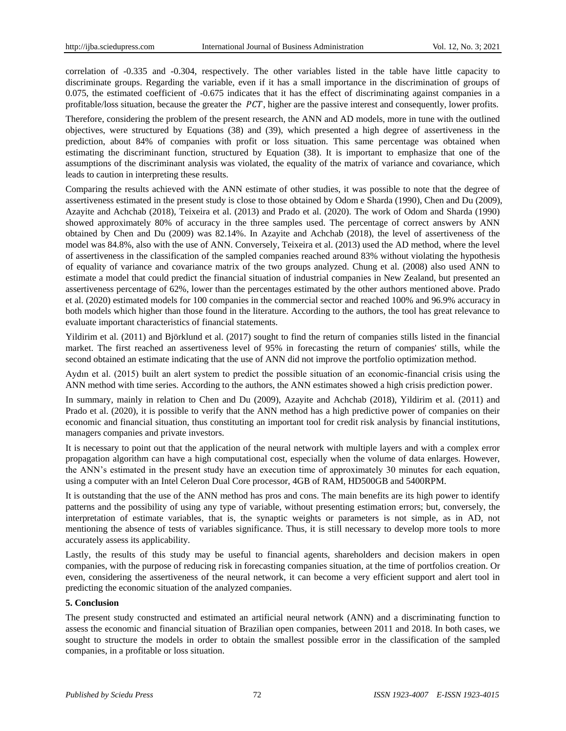correlation of -0.335 and -0.304, respectively. The other variables listed in the table have little capacity to discriminate groups. Regarding the variable, even if it has a small importance in the discrimination of groups of 0.075, the estimated coefficient of -0.675 indicates that it has the effect of discriminating against companies in a profitable/loss situation, because the greater the  $PCT$ , higher are the passive interest and consequently, lower profits.

Therefore, considering the problem of the present research, the ANN and AD models, more in tune with the outlined objectives, were structured by Equations (38) and (39), which presented a high degree of assertiveness in the prediction, about 84% of companies with profit or loss situation. This same percentage was obtained when estimating the discriminant function, structured by Equation (38). It is important to emphasize that one of the assumptions of the discriminant analysis was violated, the equality of the matrix of variance and covariance, which leads to caution in interpreting these results.

Comparing the results achieved with the ANN estimate of other studies, it was possible to note that the degree of assertiveness estimated in the present study is close to those obtained by Odom e Sharda (1990), Chen and Du (2009), Azayite and Achchab (2018), Teixeira et al. (2013) and Prado et al. (2020). The work of Odom and Sharda (1990) showed approximately 80% of accuracy in the three samples used. The percentage of correct answers by ANN obtained by Chen and Du (2009) was 82.14%. In Azayite and Achchab (2018), the level of assertiveness of the model was 84.8%, also with the use of ANN. Conversely, Teixeira et al. (2013) used the AD method, where the level of assertiveness in the classification of the sampled companies reached around 83% without violating the hypothesis of equality of variance and covariance matrix of the two groups analyzed. Chung et al. (2008) also used ANN to estimate a model that could predict the financial situation of industrial companies in New Zealand, but presented an assertiveness percentage of 62%, lower than the percentages estimated by the other authors mentioned above. Prado et al. (2020) estimated models for 100 companies in the commercial sector and reached 100% and 96.9% accuracy in both models which higher than those found in the literature. According to the authors, the tool has great relevance to evaluate important characteristics of financial statements.

Yildirim et al. (2011) and Björklund et al. (2017) sought to find the return of companies stills listed in the financial market. The first reached an assertiveness level of 95% in forecasting the return of companies' stills, while the second obtained an estimate indicating that the use of ANN did not improve the portfolio optimization method.

Aydın et al. (2015) built an alert system to predict the possible situation of an economic-financial crisis using the ANN method with time series. According to the authors, the ANN estimates showed a high crisis prediction power.

In summary, mainly in relation to Chen and Du (2009), Azayite and Achchab (2018), Yildirim et al. (2011) and Prado et al. (2020), it is possible to verify that the ANN method has a high predictive power of companies on their economic and financial situation, thus constituting an important tool for credit risk analysis by financial institutions, managers companies and private investors.

It is necessary to point out that the application of the neural network with multiple layers and with a complex error propagation algorithm can have a high computational cost, especially when the volume of data enlarges. However, the ANN"s estimated in the present study have an execution time of approximately 30 minutes for each equation, using a computer with an Intel Celeron Dual Core processor, 4GB of RAM, HD500GB and 5400RPM.

It is outstanding that the use of the ANN method has pros and cons. The main benefits are its high power to identify patterns and the possibility of using any type of variable, without presenting estimation errors; but, conversely, the interpretation of estimate variables, that is, the synaptic weights or parameters is not simple, as in AD, not mentioning the absence of tests of variables significance. Thus, it is still necessary to develop more tools to more accurately assess its applicability.

Lastly, the results of this study may be useful to financial agents, shareholders and decision makers in open companies, with the purpose of reducing risk in forecasting companies situation, at the time of portfolios creation. Or even, considering the assertiveness of the neural network, it can become a very efficient support and alert tool in predicting the economic situation of the analyzed companies.

## **5. Conclusion**

The present study constructed and estimated an artificial neural network (ANN) and a discriminating function to assess the economic and financial situation of Brazilian open companies, between 2011 and 2018. In both cases, we sought to structure the models in order to obtain the smallest possible error in the classification of the sampled companies, in a profitable or loss situation.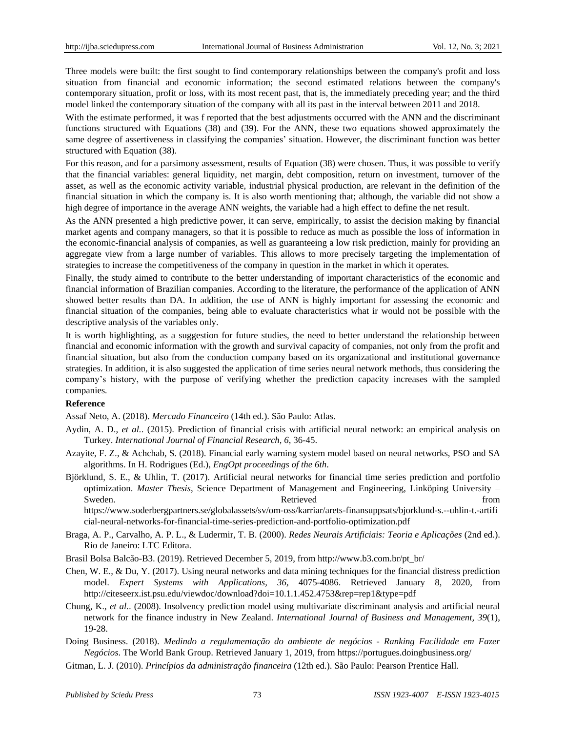Three models were built: the first sought to find contemporary relationships between the company's profit and loss situation from financial and economic information; the second estimated relations between the company's contemporary situation, profit or loss, with its most recent past, that is, the immediately preceding year; and the third model linked the contemporary situation of the company with all its past in the interval between 2011 and 2018.

With the estimate performed, it was f reported that the best adjustments occurred with the ANN and the discriminant functions structured with Equations (38) and (39). For the ANN, these two equations showed approximately the same degree of assertiveness in classifying the companies" situation. However, the discriminant function was better structured with Equation (38).

For this reason, and for a parsimony assessment, results of Equation (38) were chosen. Thus, it was possible to verify that the financial variables: general liquidity, net margin, debt composition, return on investment, turnover of the asset, as well as the economic activity variable, industrial physical production, are relevant in the definition of the financial situation in which the company is. It is also worth mentioning that; although, the variable did not show a high degree of importance in the average ANN weights, the variable had a high effect to define the net result.

As the ANN presented a high predictive power, it can serve, empirically, to assist the decision making by financial market agents and company managers, so that it is possible to reduce as much as possible the loss of information in the economic-financial analysis of companies, as well as guaranteeing a low risk prediction, mainly for providing an aggregate view from a large number of variables. This allows to more precisely targeting the implementation of strategies to increase the competitiveness of the company in question in the market in which it operates.

Finally, the study aimed to contribute to the better understanding of important characteristics of the economic and financial information of Brazilian companies. According to the literature, the performance of the application of ANN showed better results than DA. In addition, the use of ANN is highly important for assessing the economic and financial situation of the companies, being able to evaluate characteristics what ir would not be possible with the descriptive analysis of the variables only.

It is worth highlighting, as a suggestion for future studies, the need to better understand the relationship between financial and economic information with the growth and survival capacity of companies, not only from the profit and financial situation, but also from the conduction company based on its organizational and institutional governance strategies. In addition, it is also suggested the application of time series neural network methods, thus considering the company"s history, with the purpose of verifying whether the prediction capacity increases with the sampled companies*.*

#### **Reference**

Assaf Neto, A. (2018). *Mercado Financeiro* (14th ed.). São Paulo: Atlas.

- Aydin, A. D., *et al.*. (2015). Prediction of financial crisis with artificial neural network: an empirical analysis on Turkey. *International Journal of Financial Research, 6*, 36-45.
- Azayite, F. Z., & Achchab, S. (2018). Financial early warning system model based on neural networks, PSO and SA algorithms. In H. Rodrigues (Ed.), *EngOpt proceedings of the 6th*.
- Björklund, S. E., & Uhlin, T. (2017). Artificial neural networks for financial time series prediction and portfolio optimization. *Master Thesis*, Science Department of Management and Engineering, Linköping University – Sweden. The contract of the set of the Retrieved contract of the set of the set of the set of the set of the set of the set of the set of the set of the set of the set of the set of the set of the set of the set of the set

[https://www.soderbergpartners.se/globalassets/sv/om-oss/karriar/arets-finansuppsats/bjorklund-s.--uhlin-t.-artifi](https://www.soderbergpartners.se/globalassets/sv/om-oss/karriar/arets-finansuppsats/bjorklund-s.--uhlin-t.-artificial-neural-networks-for-financial-time-series-prediction-and-portfolio-optimization.pdf) [cial-neural-networks-for-financial-time-series-prediction-and-portfolio-optimization.pdf](https://www.soderbergpartners.se/globalassets/sv/om-oss/karriar/arets-finansuppsats/bjorklund-s.--uhlin-t.-artificial-neural-networks-for-financial-time-series-prediction-and-portfolio-optimization.pdf)

Braga, A. P., Carvalho, A. P. L., & Ludermir, T. B. (2000). *Redes Neurais Artificiais: Teoria e Aplicações* (2nd ed.). Rio de Janeiro: LTC Editora.

Brasil Bolsa Balc ão-B3. (2019). Retrieved December 5, 2019, from [http://www.b3.com.br/pt\\_br/](http://www.b3.com.br/pt_br/)

- Chen, W. E., & Du, Y. (2017). Using neural networks and data mining techniques for the financial distress prediction model. *Expert Systems with Applications, 36,* 4075-4086. Retrieved January 8, 2020, from <http://citeseerx.ist.psu.edu/viewdoc/download?doi=10.1.1.452.4753&rep=rep1&type=pdf>
- Chung, K., *et al.*. (2008). Insolvency prediction model using multivariate discriminant analysis and artificial neural network for the finance industry in New Zealand. *International Journal of Business and Management, 39*(1), 19-28.

Doing Business. (2018). *Medindo a regulamentação do ambiente de negócios - Ranking Facilidade em Fazer Negócios*. The World Bank Group. Retrieved January 1, 2019, from <https://portugues.doingbusiness.org/>

Gitman, L. J. (2010). *Princípios da administração financeira* (12th ed.). São Paulo: Pearson Prentice Hall.